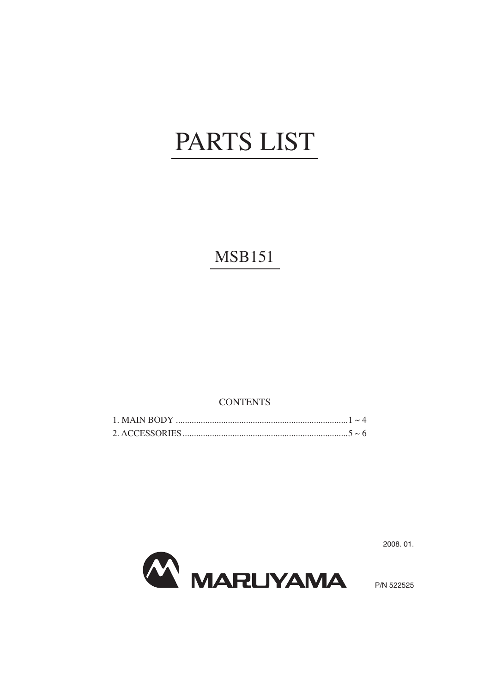## PARTS LIST

**MSB151** 

**CONTENTS** 



2008.01.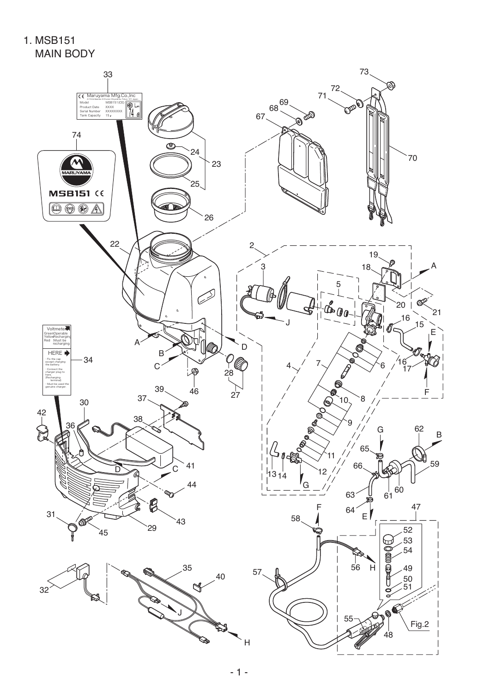1. MSB151 MAIN BODY

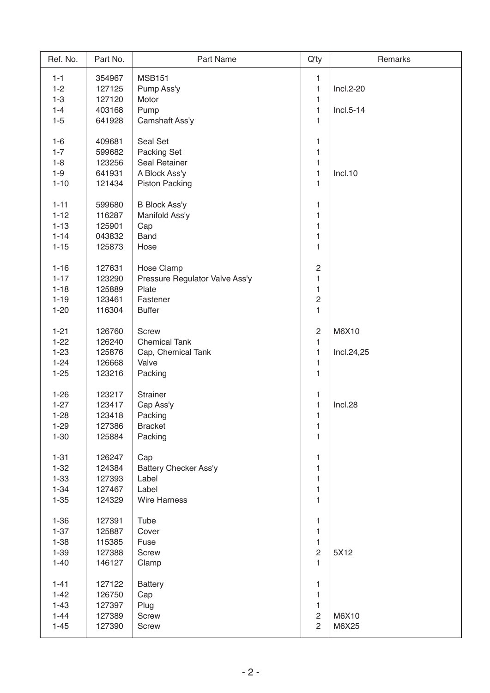| Ref. No. | Part No. | Part Name                      | $Q'$ ty        | Remarks     |
|----------|----------|--------------------------------|----------------|-------------|
| $1 - 1$  | 354967   | <b>MSB151</b>                  | 1              |             |
| $1 - 2$  | 127125   | Pump Ass'y                     | 1              | Incl.2-20   |
| $1 - 3$  | 127120   | Motor                          | 1              |             |
| $1 - 4$  | 403168   | Pump                           | 1              | $Incl.5-14$ |
| $1-5$    | 641928   | Camshaft Ass'y                 | 1              |             |
|          |          |                                |                |             |
| $1-6$    | 409681   | Seal Set                       | 1              |             |
| $1 - 7$  | 599682   | Packing Set                    | 1              |             |
| $1 - 8$  | 123256   | Seal Retainer                  | 1              |             |
| $1-9$    | 641931   | A Block Ass'y                  | 1              | Incl.10     |
| $1 - 10$ | 121434   | <b>Piston Packing</b>          | 1              |             |
|          |          |                                |                |             |
| $1 - 11$ | 599680   | <b>B Block Ass'y</b>           | 1              |             |
| $1 - 12$ | 116287   | Manifold Ass'y                 | 1              |             |
| $1 - 13$ | 125901   | Cap                            | 1              |             |
| $1 - 14$ | 043832   | <b>Band</b>                    | 1              |             |
| $1 - 15$ | 125873   | Hose                           | 1              |             |
|          |          |                                |                |             |
| $1 - 16$ | 127631   | Hose Clamp                     | $\overline{c}$ |             |
| $1 - 17$ | 123290   | Pressure Regulator Valve Ass'y | 1              |             |
| $1 - 18$ | 125889   | Plate                          | 1              |             |
| $1 - 19$ | 123461   | Fastener                       | $\overline{c}$ |             |
| $1 - 20$ | 116304   | <b>Buffer</b>                  | 1              |             |
|          |          |                                |                |             |
| $1 - 21$ | 126760   | Screw                          | $\sqrt{2}$     | M6X10       |
| $1 - 22$ | 126240   | <b>Chemical Tank</b>           | 1              |             |
| $1 - 23$ | 125876   | Cap, Chemical Tank             | 1              | Incl.24,25  |
| $1 - 24$ | 126668   | Valve                          | 1              |             |
| $1 - 25$ | 123216   | Packing                        | 1              |             |
|          |          |                                |                |             |
| $1 - 26$ | 123217   | Strainer                       | 1              |             |
| $1 - 27$ | 123417   | Cap Ass'y                      | 1              | Incl.28     |
| $1 - 28$ | 123418   | Packing                        | 1              |             |
| $1 - 29$ | 127386   | <b>Bracket</b>                 | 1              |             |
| $1 - 30$ | 125884   | Packing                        | $\mathbf{1}$   |             |
|          |          |                                |                |             |
| $1 - 31$ | 126247   | Cap                            | 1              |             |
| $1 - 32$ | 124384   | <b>Battery Checker Ass'y</b>   | 1              |             |
| $1 - 33$ | 127393   | Label                          | 1              |             |
| $1 - 34$ | 127467   | Label                          | 1              |             |
| $1 - 35$ | 124329   | <b>Wire Harness</b>            | 1              |             |
|          |          |                                |                |             |
| $1 - 36$ | 127391   | Tube                           | 1              |             |
| $1 - 37$ | 125887   | Cover                          | 1              |             |
| $1 - 38$ | 115385   | Fuse                           | 1              |             |
| $1 - 39$ | 127388   | Screw                          | $\mathbf{2}$   | 5X12        |
| $1 - 40$ | 146127   | Clamp                          | 1              |             |
|          |          |                                |                |             |
| $1 - 41$ | 127122   | <b>Battery</b>                 | $\mathbf{1}$   |             |
| $1 - 42$ | 126750   | Cap                            | 1              |             |
| $1 - 43$ | 127397   | Plug                           | 1              |             |
| $1 - 44$ | 127389   | <b>Screw</b>                   | $\overline{c}$ | M6X10       |
| $1 - 45$ | 127390   | Screw                          | $\overline{2}$ | M6X25       |
|          |          |                                |                |             |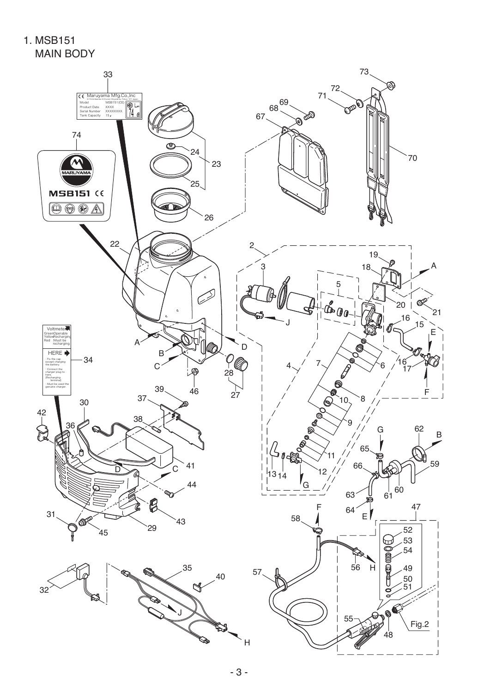1. MSB151 MAIN BODY

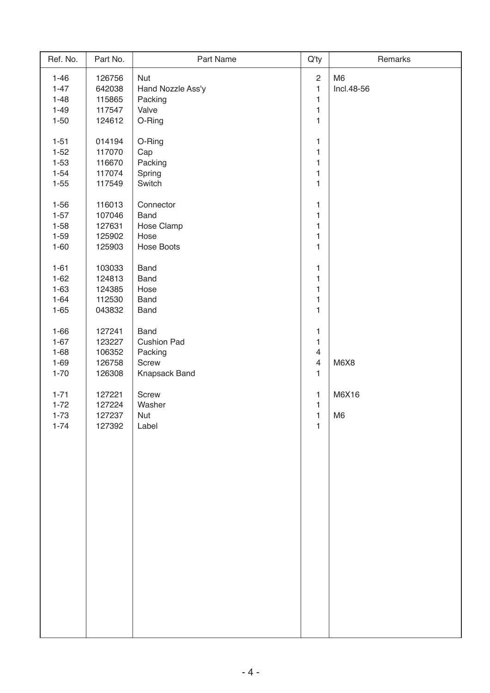| Ref. No. | Part No. | Part Name          | Q'ty                    | Remarks        |
|----------|----------|--------------------|-------------------------|----------------|
| $1 - 46$ | 126756   | <b>Nut</b>         | $\sqrt{2}$              | M <sub>6</sub> |
| $1 - 47$ | 642038   | Hand Nozzle Ass'y  | $\mathbf{1}$            | Incl.48-56     |
| $1 - 48$ | 115865   | Packing            | $\mathbf 1$             |                |
| $1 - 49$ | 117547   | Valve              | $\mathbf{1}$            |                |
| $1 - 50$ | 124612   | O-Ring             | $\mathbf{1}$            |                |
|          |          |                    |                         |                |
| $1 - 51$ | 014194   | O-Ring             | 1                       |                |
| $1 - 52$ | 117070   | Cap                | $\mathbf 1$             |                |
| $1 - 53$ | 116670   | Packing            | $\mathbf{1}$            |                |
| $1 - 54$ | 117074   | Spring             | $\mathbf{1}$            |                |
| $1 - 55$ | 117549   | Switch             | $\mathbf{1}$            |                |
| $1 - 56$ | 116013   | Connector          | 1                       |                |
| $1 - 57$ | 107046   | <b>Band</b>        | $\mathbf 1$             |                |
| $1 - 58$ |          |                    | $\mathbf 1$             |                |
|          | 127631   | Hose Clamp         |                         |                |
| $1 - 59$ | 125902   | Hose               | $\mathbf 1$             |                |
| $1 - 60$ | 125903   | <b>Hose Boots</b>  | $\mathbf{1}$            |                |
| $1 - 61$ | 103033   | <b>Band</b>        | $\mathbf 1$             |                |
| $1 - 62$ | 124813   | <b>Band</b>        | $\mathbf{1}$            |                |
| $1 - 63$ | 124385   | Hose               | $\mathbf{1}$            |                |
| $1 - 64$ | 112530   | <b>Band</b>        | 1                       |                |
| $1 - 65$ | 043832   | <b>Band</b>        | $\mathbf{1}$            |                |
|          |          |                    |                         |                |
| $1 - 66$ | 127241   | <b>Band</b>        | $\mathbf 1$             |                |
| $1 - 67$ | 123227   | <b>Cushion Pad</b> | 1                       |                |
| $1 - 68$ | 106352   | Packing            | $\overline{4}$          |                |
| $1 - 69$ | 126758   | Screw              | $\overline{\mathbf{4}}$ | M6X8           |
| $1 - 70$ | 126308   | Knapsack Band      | 1                       |                |
| $1 - 71$ | 127221   | Screw              | 1                       | M6X16          |
| $1 - 72$ | 127224   | Washer             | $\mathbf 1$             |                |
| $1 - 73$ | 127237   | Nut                | $\mathbf{1}$            | M <sub>6</sub> |
| $1 - 74$ | 127392   | Label              | 1                       |                |
|          |          |                    |                         |                |
|          |          |                    |                         |                |
|          |          |                    |                         |                |
|          |          |                    |                         |                |
|          |          |                    |                         |                |
|          |          |                    |                         |                |
|          |          |                    |                         |                |
|          |          |                    |                         |                |
|          |          |                    |                         |                |
|          |          |                    |                         |                |
|          |          |                    |                         |                |
|          |          |                    |                         |                |
|          |          |                    |                         |                |
|          |          |                    |                         |                |
|          |          |                    |                         |                |
|          |          |                    |                         |                |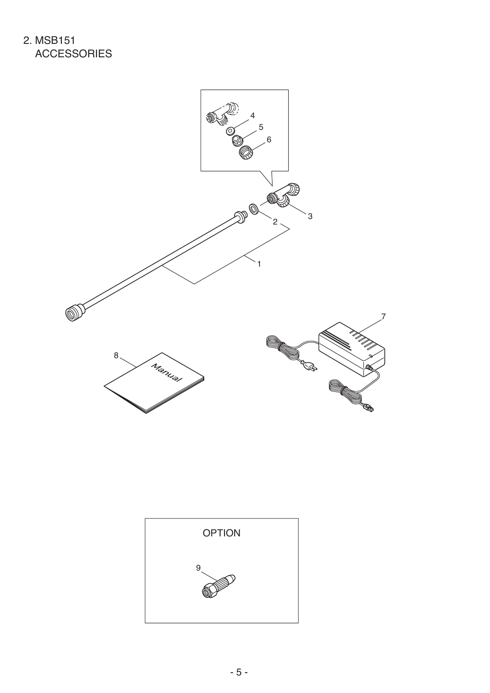